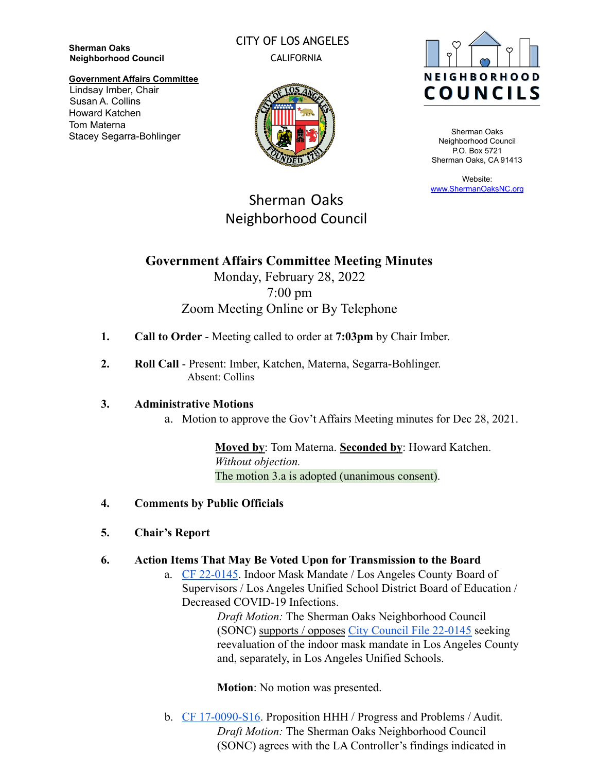**Sherman Oaks Neighborhood Council** CITY OF LOS ANGELES CALIFORNIA



Sherman Oaks Neighborhood Council P.O. Box 5721 Sherman Oaks, CA 91413

Website: [www.ShermanOaksNC.org](http://www.shermanoaksnc.org)

#### **Government Affairs Committee** Lindsay Imber, Chair Susan A. Collins Howard Katchen Tom Materna Stacey Segarra-Bohlinger



Sherman Oaks

Neighborhood Council

# **Government Affairs Committee Meeting Minutes** Monday, February 28, 2022 7:00 pm Zoom Meeting Online or By Telephone

- **1. Call to Order** Meeting called to order at **7:03pm** by Chair Imber.
- **2. Roll Call** Present: Imber, Katchen, Materna, Segarra-Bohlinger. Absent: Collins

# **3. Administrative Motions**

a. Motion to approve the Gov't Affairs Meeting minutes for Dec 28, 2021.

**Moved by**: Tom Materna. **Seconded by**: Howard Katchen. *Without objection.* The motion 3.a is adopted (unanimous consent).

- **4. Comments by Public Officials**
- **5. Chair's Report**
- **6. Action Items That May Be Voted Upon for Transmission to the Board**
	- a. [CF 22-0145](https://cityclerk.lacity.org/lacityclerkconnect/index.cfm?fa=ccfi.viewrecord&cfnumber=22-0145). Indoor Mask Mandate / Los Angeles County Board of Supervisors / Los Angeles Unified School District Board of Education / Decreased COVID-19 Infections.

*Draft Motion:* The Sherman Oaks Neighborhood Council (SONC) supports / opposes [City Council File 22-0145](https://cityclerk.lacity.org/lacityclerkconnect/index.cfm?fa=ccfi.viewrecord&cfnumber=22-0145) seeking reevaluation of the indoor mask mandate in Los Angeles County and, separately, in Los Angeles Unified Schools.

**Motion**: No motion was presented.

b. [CF 17-0090-S16](https://cityclerk.lacity.org/lacityclerkconnect/index.cfm?fa=ccfi.viewrecord&cfnumber=17-0090-S16). Proposition HHH / Progress and Problems / Audit. *Draft Motion:* The Sherman Oaks Neighborhood Council (SONC) agrees with the LA Controller's findings indicated in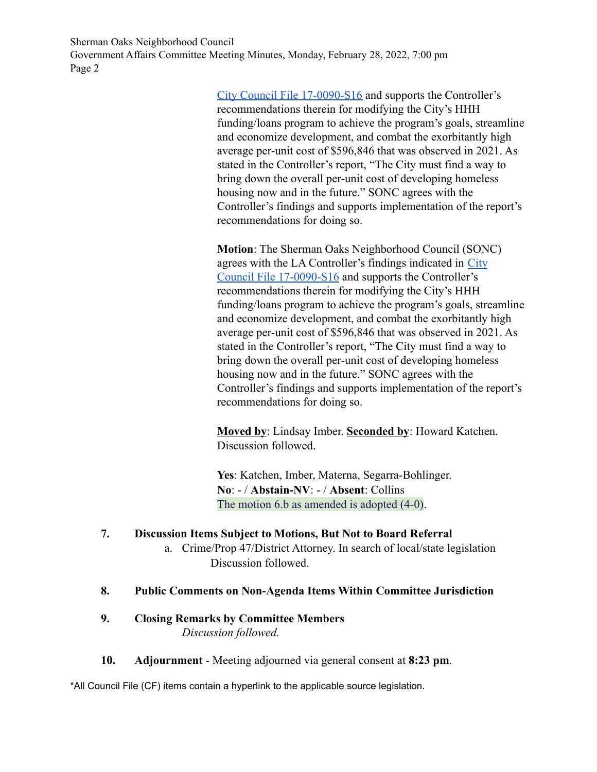Sherman Oaks Neighborhood Council Government Affairs Committee Meeting Minutes, Monday, February 28, 2022, 7:00 pm Page 2

> [City Council File 17-0090-S16](https://cityclerk.lacity.org/lacityclerkconnect/index.cfm?fa=ccfi.viewrecord&cfnumber=17-0090-S16) and supports the Controller's recommendations therein for modifying the City's HHH funding/loans program to achieve the program's goals, streamline and economize development, and combat the exorbitantly high average per-unit cost of \$596,846 that was observed in 2021. As stated in the Controller's report, "The City must find a way to bring down the overall per-unit cost of developing homeless housing now and in the future." SONC agrees with the Controller's findings and supports implementation of the report's recommendations for doing so.

> **Motion**: The Sherman Oaks Neighborhood Council (SONC) agrees with the LA Controller's findings indicated in [City](https://cityclerk.lacity.org/lacityclerkconnect/index.cfm?fa=ccfi.viewrecord&cfnumber=17-0090-S16) [Council File 17-0090-S16](https://cityclerk.lacity.org/lacityclerkconnect/index.cfm?fa=ccfi.viewrecord&cfnumber=17-0090-S16) and supports the Controller's recommendations therein for modifying the City's HHH funding/loans program to achieve the program's goals, streamline and economize development, and combat the exorbitantly high average per-unit cost of \$596,846 that was observed in 2021. As stated in the Controller's report, "The City must find a way to bring down the overall per-unit cost of developing homeless housing now and in the future." SONC agrees with the Controller's findings and supports implementation of the report's recommendations for doing so.

**Moved by**: Lindsay Imber. **Seconded by**: Howard Katchen. Discussion followed.

**Yes**: Katchen, Imber, Materna, Segarra-Bohlinger. **No**: - / **Abstain-NV**: - / **Absent**: Collins The motion 6.b as amended is adopted  $(4-0)$ .

## **7. Discussion Items Subject to Motions, But Not to Board Referral**

a. Crime/Prop 47/District Attorney. In search of local/state legislation Discussion followed.

## **8. Public Comments on Non-Agenda Items Within Committee Jurisdiction**

# **9. Closing Remarks by Committee Members** *Discussion followed.*

**10. Adjournment** - Meeting adjourned via general consent at **8:23 pm**.

\*All Council File (CF) items contain a hyperlink to the applicable source legislation.